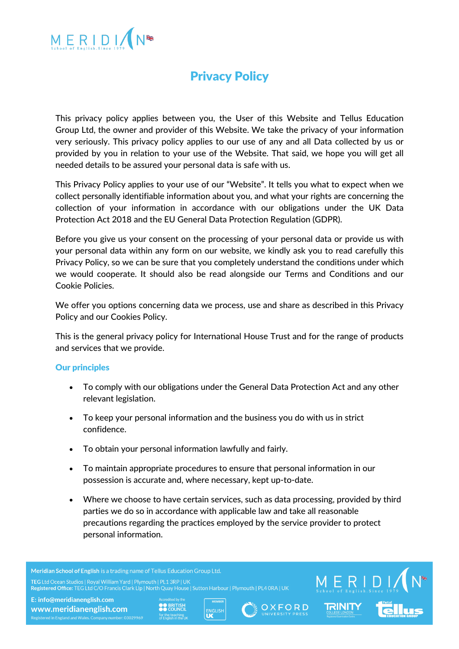

# Privacy Policy

This privacy policy applies between you, the User of this Website and Tellus Education Group Ltd, the owner and provider of this Website. We take the privacy of your information very seriously. This privacy policy applies to our use of any and all Data collected by us or provided by you in relation to your use of the Website. That said, we hope you will get all needed details to be assured your personal data is safe with us.

This Privacy Policy applies to your use of our "Website". It tells you what to expect when we collect personally identifiable information about you, and what your rights are concerning the collection of your information in accordance with our obligations under the UK Data Protection Act 2018 and the EU General Data Protection Regulation (GDPR).

Before you give us your consent on the processing of your personal data or provide us with your personal data within any form on our website, we kindly ask you to read carefully this Privacy Policy, so we can be sure that you completely understand the conditions under which we would cooperate. It should also be read alongside our Terms and Conditions and our Cookie Policies.

We offer you options concerning data we process, use and share as described in this Privacy Policy and our Cookies Policy.

This is the general privacy policy for International House Trust and for the range of products and services that we provide.

# Our principles

- To comply with our obligations under the General Data Protection Act and any other relevant legislation.
- To keep your personal information and the business you do with us in strict confidence.
- To obtain your personal information lawfully and fairly.
- To maintain appropriate procedures to ensure that personal information in our possession is accurate and, where necessary, kept up-to-date.
- Where we choose to have certain services, such as data processing, provided by third parties we do so in accordance with applicable law and take all reasonable precautions regarding the practices employed by the service provider to protect personal information.

Meridian School of English is a trading name of Tellus Education Group Ltd. Registered Office: TEG Ltd C/O Francis Clark Llp | North Quay House | Sutton Harbour | Plymouth | PL4 ORA | UK

E: info@meridianenglish.com

www.meridianenglish.com





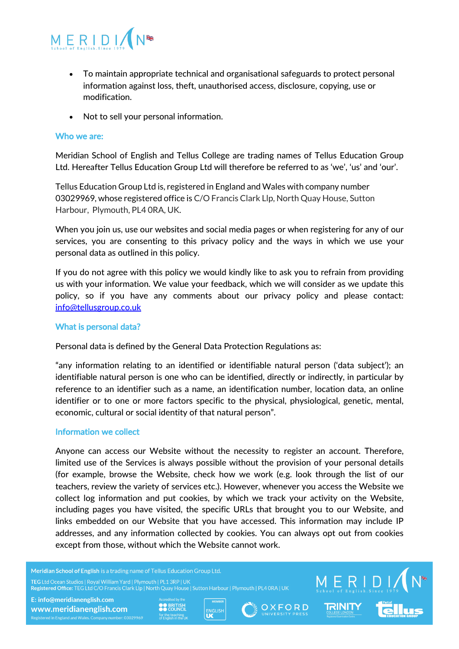

- To maintain appropriate technical and organisational safeguards to protect personal information against loss, theft, unauthorised access, disclosure, copying, use or modification.
- Not to sell your personal information.

## Who we are:

Meridian School of English and Tellus College are trading names of Tellus Education Group Ltd. Hereafter Tellus Education Group Ltd will therefore be referred to as 'we', 'us' and 'our'.

Tellus Education Group Ltd is, registered in England and Wales with company number 03029969, whose registered office is C/O Francis Clark Llp, North Quay House, Sutton Harbour, Plymouth, PL4 0RA, UK.

When you join us, use our websites and social media pages or when registering for any of our services, you are consenting to this privacy policy and the ways in which we use your personal data as outlined in this policy.

If you do not agree with this policy we would kindly like to ask you to refrain from providing us with your information. We value your feedback, which we will consider as we update this policy, so if you have any comments about our privacy policy and please contact: info@tellusgroup.co.uk

### What is personal data?

Personal data is defined by the General Data Protection Regulations as:

"any information relating to an identified or identifiable natural person ('data subject'); an identifiable natural person is one who can be identified, directly or indirectly, in particular by reference to an identifier such as a name, an identification number, location data, an online identifier or to one or more factors specific to the physical, physiological, genetic, mental, economic, cultural or social identity of that natural person".

#### Information we collect

Anyone can access our Website without the necessity to register an account. Therefore, limited use of the Services is always possible without the provision of your personal details (for example, browse the Website, check how we work (e.g. look through the list of our teachers, review the variety of services etc.). However, whenever you access the Website we collect log information and put cookies, by which we track your activity on the Website, including pages you have visited, the specific URLs that brought you to our Website, and links embedded on our Website that you have accessed. This information may include IP addresses, and any information collected by cookies. You can always opt out from cookies except from those, without which the Website cannot work.

Meridian School of English is a trading name of Tellus Education Group Ltd.

Registered Office: TEG Ltd C/O Francis Clark Lip | North Quay House | Sutton Harbour | Plymouth | PL4 ORA | UK





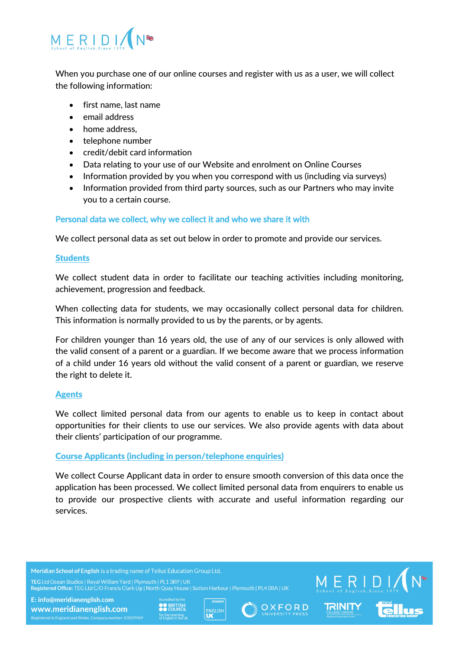

When you purchase one of our online courses and register with us as a user, we will collect the following information:

- first name, last name
- email address
- home address,
- telephone number
- credit/debit card information
- Data relating to your use of our Website and enrolment on Online Courses
- Information provided by you when you correspond with us (including via surveys)
- Information provided from third party sources, such as our Partners who may invite you to a certain course.

# Personal data we collect, why we collect it and who we share it with

We collect personal data as set out below in order to promote and provide our services.

## **Students**

We collect student data in order to facilitate our teaching activities including monitoring, achievement, progression and feedback.

When collecting data for students, we may occasionally collect personal data for children. This information is normally provided to us by the parents, or by agents.

For children younger than 16 years old, the use of any of our services is only allowed with the valid consent of a parent or a guardian. If we become aware that we process information of a child under 16 years old without the valid consent of a parent or guardian, we reserve the right to delete it.

# Agents

We collect limited personal data from our agents to enable us to keep in contact about opportunities for their clients to use our services. We also provide agents with data about their clients' participation of our programme.

# Course Applicants (including in person/telephone enquiries)

We collect Course Applicant data in order to ensure smooth conversion of this data once the application has been processed. We collect limited personal data from enquirers to enable us to provide our prospective clients with accurate and useful information regarding our services.

Meridian School of English is a trading name of Tellus Education Group Ltd.

Registered Office: TEG Ltd C/O Francis Clark Llp | North Quay House | Sutton Harbour | Plymouth | PL4 0RA | UK







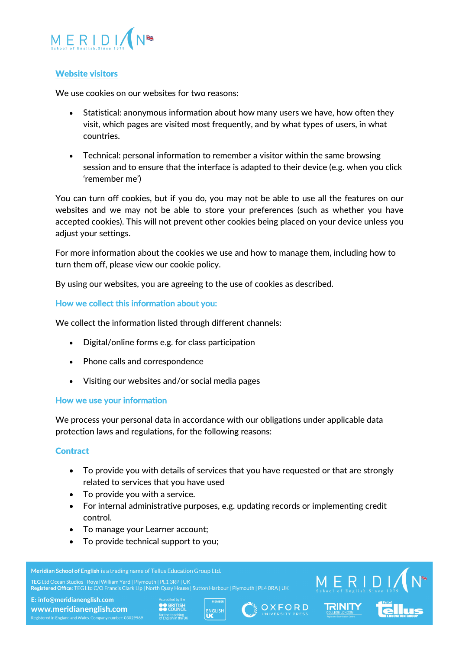

# Website visitors

We use cookies on our websites for two reasons:

- Statistical: anonymous information about how many users we have, how often they visit, which pages are visited most frequently, and by what types of users, in what countries.
- Technical: personal information to remember a visitor within the same browsing session and to ensure that the interface is adapted to their device (e.g. when you click 'remember me')

You can turn off cookies, but if you do, you may not be able to use all the features on our websites and we may not be able to store your preferences (such as whether you have accepted cookies). This will not prevent other cookies being placed on your device unless you adjust your settings.

For more information about the cookies we use and how to manage them, including how to turn them off, please view our cookie policy.

By using our websites, you are agreeing to the use of cookies as described.

How we collect this information about you:

We collect the information listed through different channels:

- Digital/online forms e.g. for class participation
- Phone calls and correspondence
- Visiting our websites and/or social media pages

# How we use your information

We process your personal data in accordance with our obligations under applicable data protection laws and regulations, for the following reasons:

# **Contract**

- To provide you with details of services that you have requested or that are strongly related to services that you have used
- To provide you with a service.
- For internal administrative purposes, e.g. updating records or implementing credit control.
- To manage your Learner account;
- To provide technical support to you;

Meridian School of English is a trading name of Tellus Education Group Ltd. Registered Office: TEG Ltd C/O Francis Clark Llp | North Quay House | Sutton Harbour | Plymouth | PL4 0RA | UK E: info@meridianenglish.com www.meridianenglish.com





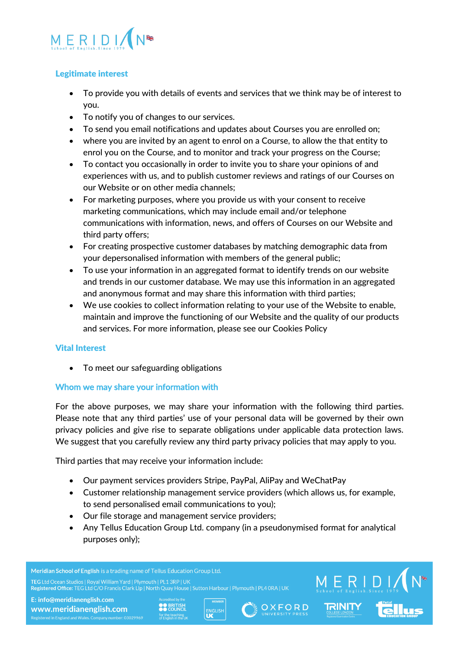

# Legitimate interest

- To provide you with details of events and services that we think may be of interest to you.
- To notify you of changes to our services.
- To send you email notifications and updates about Courses you are enrolled on;
- where you are invited by an agent to enrol on a Course, to allow the that entity to enrol you on the Course, and to monitor and track your progress on the Course;
- To contact you occasionally in order to invite you to share your opinions of and experiences with us, and to publish customer reviews and ratings of our Courses on our Website or on other media channels;
- For marketing purposes, where you provide us with your consent to receive marketing communications, which may include email and/or telephone communications with information, news, and offers of Courses on our Website and third party offers;
- For creating prospective customer databases by matching demographic data from your depersonalised information with members of the general public;
- To use your information in an aggregated format to identify trends on our website and trends in our customer database. We may use this information in an aggregated and anonymous format and may share this information with third parties;
- We use cookies to collect information relating to your use of the Website to enable, maintain and improve the functioning of our Website and the quality of our products and services. For more information, please see our Cookies Policy

# Vital Interest

• To meet our safeguarding obligations

# Whom we may share your information with

For the above purposes, we may share your information with the following third parties. Please note that any third parties' use of your personal data will be governed by their own privacy policies and give rise to separate obligations under applicable data protection laws. We suggest that you carefully review any third party privacy policies that may apply to you.

Third parties that may receive your information include:

- Our payment services providers Stripe, PayPal, AliPay and WeChatPay
- Customer relationship management service providers (which allows us, for example, to send personalised email communications to you);
- Our file storage and management service providers;
- Any Tellus Education Group Ltd. company (in a pseudonymised format for analytical purposes only);

Meridian School of English is a trading name of Tellus Education Group Ltd. Registered Office: TEG Ltd C/O Francis Clark Llp | North Quay House | Sutton Harbour | Plymouth | PL4 0RA | UK E: info@meridianenglish.com **OO BRITISH<br>AA COUNCIL** OXFORD ENGLISH www.meridianenglish.com

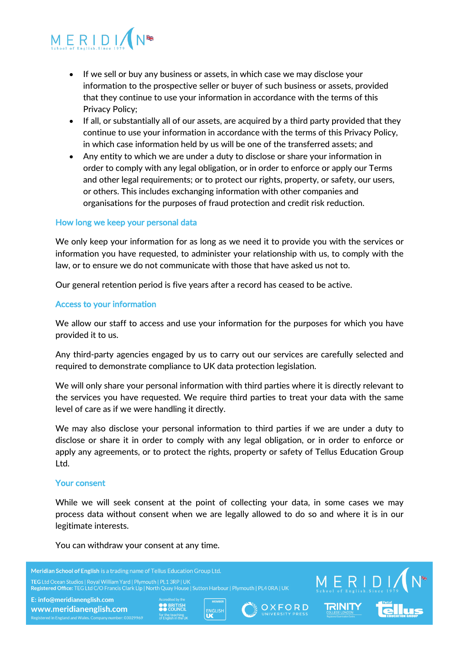

- If we sell or buy any business or assets, in which case we may disclose your information to the prospective seller or buyer of such business or assets, provided that they continue to use your information in accordance with the terms of this Privacy Policy;
- If all, or substantially all of our assets, are acquired by a third party provided that they continue to use your information in accordance with the terms of this Privacy Policy, in which case information held by us will be one of the transferred assets; and
- Any entity to which we are under a duty to disclose or share your information in order to comply with any legal obligation, or in order to enforce or apply our Terms and other legal requirements; or to protect our rights, property, or safety, our users, or others. This includes exchanging information with other companies and organisations for the purposes of fraud protection and credit risk reduction.

## How long we keep your personal data

We only keep your information for as long as we need it to provide you with the services or information you have requested, to administer your relationship with us, to comply with the law, or to ensure we do not communicate with those that have asked us not to.

Our general retention period is five years after a record has ceased to be active.

## Access to your information

We allow our staff to access and use your information for the purposes for which you have provided it to us.

Any third-party agencies engaged by us to carry out our services are carefully selected and required to demonstrate compliance to UK data protection legislation.

We will only share your personal information with third parties where it is directly relevant to the services you have requested. We require third parties to treat your data with the same level of care as if we were handling it directly.

We may also disclose your personal information to third parties if we are under a duty to disclose or share it in order to comply with any legal obligation, or in order to enforce or apply any agreements, or to protect the rights, property or safety of Tellus Education Group Ltd.

#### Your consent

While we will seek consent at the point of collecting your data, in some cases we may process data without consent when we are legally allowed to do so and where it is in our legitimate interests.

You can withdraw your consent at any time.

Meridian School of English is a trading name of Tellus Education Group Ltd.  $\begin{matrix} \text{M} \ \text{F} \ \text{R} \ \text{F} \ \text{F} \ \text{F} \ \text{F} \ \text{F} \ \text{F} \ \text{F} \ \text{F} \ \text{F} \ \text{F} \ \text{F} \ \text{F} \ \text{F} \ \text{F} \ \text{F} \ \text{F} \ \text{F} \ \text{F} \ \text{F} \ \text{F} \ \text{F} \ \text{F} \ \text{F} \ \text{F} \ \text{F} \ \text{F} \ \text{F} \ \text{F} \ \text{F} \ \text{F} \ \text{F} \ \text{F} \ \text{F}$ Registered Office: TEG Ltd C/O Francis Clark Llp | North Quay House | Sutton Harbour | Plymouth | PL4 0RA | UK E: info@meridianenglish.com **OO BRITISH**<br>**AA** COUNCI OXFORD ENGLISH www.meridianenglish.com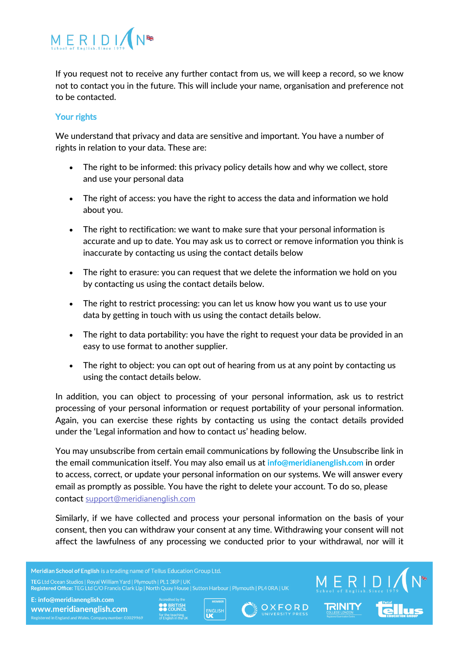

If you request not to receive any further contact from us, we will keep a record, so we know not to contact you in the future. This will include your name, organisation and preference not to be contacted.

# Your rights

We understand that privacy and data are sensitive and important. You have a number of rights in relation to your data. These are:

- The right to be informed: this privacy policy details how and why we collect, store and use your personal data
- The right of access: you have the right to access the data and information we hold about you.
- The right to rectification: we want to make sure that your personal information is accurate and up to date. You may ask us to correct or remove information you think is inaccurate by contacting us using the contact details below
- The right to erasure: you can request that we delete the information we hold on you by contacting us using the contact details below.
- The right to restrict processing: you can let us know how you want us to use your data by getting in touch with us using the contact details below.
- The right to data portability: you have the right to request your data be provided in an easy to use format to another supplier.
- The right to object: you can opt out of hearing from us at any point by contacting us using the contact details below.

In addition, you can object to processing of your personal information, ask us to restrict processing of your personal information or request portability of your personal information. Again, you can exercise these rights by contacting us using the contact details provided under the 'Legal information and how to contact us' heading below.

You may unsubscribe from certain email communications by following the Unsubscribe link in the email communication itself. You may also email us at **info@meridianenglish.com** in order to access, correct, or update your personal information on our systems. We will answer every email as promptly as possible. You have the right to delete your account. To do so, please contact support@meridianenglish.com

Similarly, if we have collected and process your personal information on the basis of your consent, then you can withdraw your consent at any time. Withdrawing your consent will not affect the lawfulness of any processing we conducted prior to your withdrawal, nor will it

Meridian School of English is a trading name of Tellus Education Group Ltd.

Registered Office: TEG Ltd C/O Francis Clark Llp | North Quay House | Sutton Harbour | Plymouth | PL4 0RA | UK





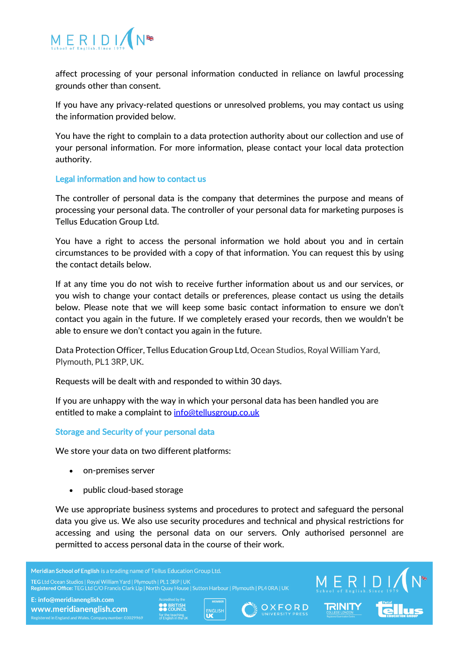

affect processing of your personal information conducted in reliance on lawful processing grounds other than consent.

If you have any privacy-related questions or unresolved problems, you may contact us using the information provided below.

You have the right to complain to a data protection authority about our collection and use of your personal information. For more information, please contact your local data protection authority.

## Legal information and how to contact us

The controller of personal data is the company that determines the purpose and means of processing your personal data. The controller of your personal data for marketing purposes is Tellus Education Group Ltd.

You have a right to access the personal information we hold about you and in certain circumstances to be provided with a copy of that information. You can request this by using the contact details below.

If at any time you do not wish to receive further information about us and our services, or you wish to change your contact details or preferences, please contact us using the details below. Please note that we will keep some basic contact information to ensure we don't contact you again in the future. If we completely erased your records, then we wouldn't be able to ensure we don't contact you again in the future.

Data Protection Officer, Tellus Education Group Ltd, Ocean Studios, Royal William Yard, Plymouth, PL1 3RP, UK.

Requests will be dealt with and responded to within 30 days.

If you are unhappy with the way in which your personal data has been handled you are entitled to make a complaint to info@tellusgroup.co.uk

# Storage and Security of your personal data

We store your data on two different platforms:

- on-premises server
- public cloud-based storage

We use appropriate business systems and procedures to protect and safeguard the personal data you give us. We also use security procedures and technical and physical restrictions for accessing and using the personal data on our servers. Only authorised personnel are permitted to access personal data in the course of their work.

Meridian School of English is a trading name of Tellus Education Group Ltd. Registered Office: TEG Ltd C/O Francis Clark Llp | North Quay House | Sutton Harbour | Plymouth | PL4 0RA | UK E: info@meridianenglish.com **OO BRITISH**<br>**AA** COUNCI

www.meridianenglish.com





 $\begin{matrix}\nM & F & R & D & I \ S & R & 0 & 0 & 0 \\ \n\end{matrix}$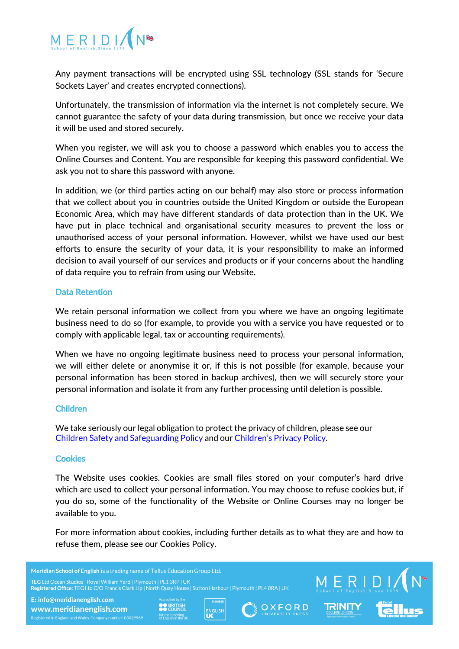

Any payment transactions will be encrypted using SSL technology (SSL stands for 'Secure Sockets Layer' and creates encrypted connections).

Unfortunately, the transmission of information via the internet is not completely secure. We cannot guarantee the safety of your data during transmission, but once we receive your data it will be used and stored securely.

When you register, we will ask you to choose a password which enables you to access the Online Courses and Content. You are responsible for keeping this password confidential. We ask you not to share this password with anyone.

In addition, we (or third parties acting on our behalf) may also store or process information that we collect about you in countries outside the United Kingdom or outside the European Economic Area, which may have different standards of data protection than in the UK. We have put in place technical and organisational security measures to prevent the loss or unauthorised access of your personal information. However, whilst we have used our best efforts to ensure the security of your data, it is your responsibility to make an informed decision to avail yourself of our services and products or if your concerns about the handling of data require you to refrain from using our Website.

# Data Retention

We retain personal information we collect from you where we have an ongoing legitimate business need to do so (for example, to provide you with a service you have requested or to comply with applicable legal, tax or accounting requirements).

When we have no ongoing legitimate business need to process your personal information, we will either delete or anonymise it or, if this is not possible (for example, because your personal information has been stored in backup archives), then we will securely store your personal information and isolate it from any further processing until deletion is possible.

#### Children

We take seriously our legal obligation to protect the privacy of children, please see our Children Safety and Safeguarding Policy and our Children's Privacy Policy.

#### **Cookies**

The Website uses cookies. Cookies are small files stored on your computer's hard drive which are used to collect your personal information. You may choose to refuse cookies but, if you do so, some of the functionality of the Website or Online Courses may no longer be available to you.

For more information about cookies, including further details as to what they are and how to refuse them, please see our Cookies Policy.

Meridian School of English is a trading name of Tellus Education Group Ltd.

Registered Office: TEG Ltd C/O Francis Clark Lip | North Quay House | Sutton Harbour | Plymouth | PL4 ORA | UK